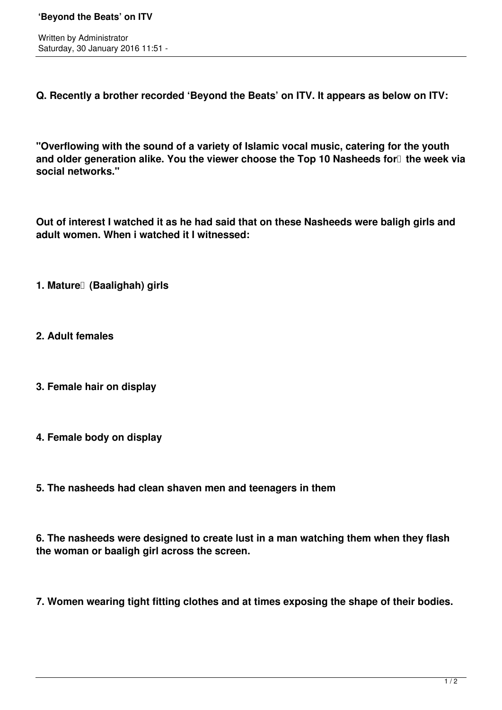## **'Beyond the Beats' on ITV**

**Q. Recently a brother recorded 'Beyond the Beats' on ITV. It appears as below on ITV:**

**"Overflowing with the sound of a variety of Islamic vocal music, catering for the youth** and older generation alike. You the viewer choose the Top 10 Nasheeds for<sup>n</sup> the week via **social networks."**

**Out of interest I watched it as he had said that on these Nasheeds were baligh girls and adult women. When i watched it I witnessed:**

1. Mature<sup>[]</sup> (Baalighah) girls

- **2. Adult females**
- **3. Female hair on display**
- **4. Female body on display**
- **5. The nasheeds had clean shaven men and teenagers in them**

**6. The nasheeds were designed to create lust in a man watching them when they flash the woman or baaligh girl across the screen.**

**7. Women wearing tight fitting clothes and at times exposing the shape of their bodies.**